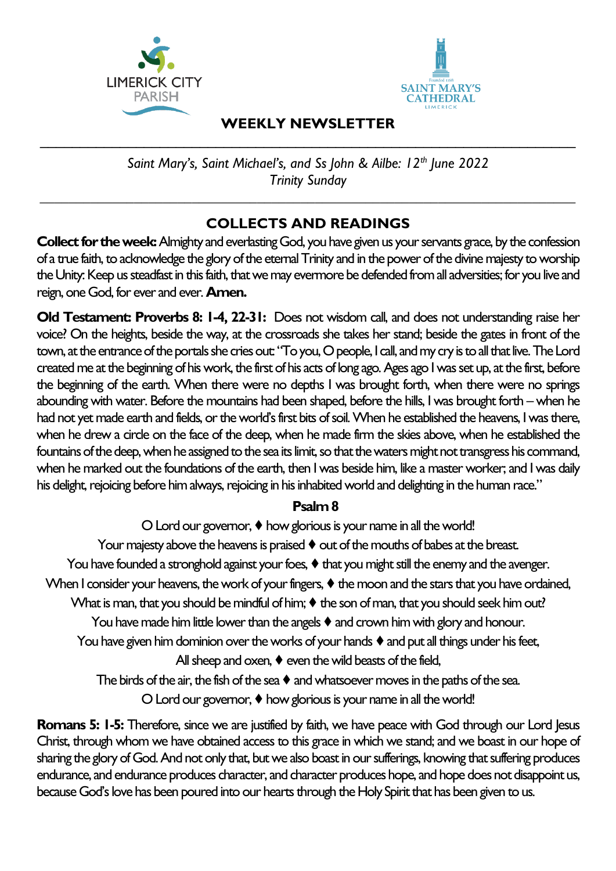



## **WEEKLY NEWSLETTER**  $\mathcal{L}_\text{max}$  , and the contract of the contract of the contract of the contract of the contract of the contract of the contract of the contract of the contract of the contract of the contract of the contract of the contr

*Saint Mary's, Saint Michael's, and Ss John & Ailbe: 12th June 2022 Trinity Sunday*

*\_\_\_\_\_\_\_\_\_\_\_\_\_\_\_\_\_\_\_\_\_\_\_\_\_\_\_\_\_\_\_\_\_\_\_\_\_\_\_\_\_\_\_\_\_\_\_\_\_\_\_\_\_\_\_\_\_\_\_\_\_\_\_\_\_\_\_\_\_\_\_\_\_\_*

# **COLLECTS AND READINGS**

**Collect for the week:** Almighty and everlasting God, you have given us your servants grace, by the confession of a true faith, to acknowledge the glory of the eternal Trinity and in the power of the divine majesty to worship the Unity: Keep us steadfast in this faith, that we may evermore be defended from all adversities; for you live and reign, one God, for ever and ever.**Amen.**

**Old Testament: Proverbs 8: 1-4, 22-31:** Does not wisdom call, and does not understanding raise her voice? On the heights, beside the way, at the crossroads she takes her stand; beside the gates in front of the town, at the entrance of the portals she cries out: "To you, O people, I call, and my cry is to all that live.The Lord created me at the beginning of his work, the first of his acts of long ago. Ages ago I was set up, at the first, before the beginning of the earth. When there were no depths I was brought forth, when there were no springs abounding with water. Before the mountains had been shaped, before the hills, I was brought forth – when he had not yet made earth and fields, or the world's first bits of soil. When he established the heavens, I was there, when he drew a circle on the face of the deep, when he made firm the skies above, when he established the fountains of the deep, when he assigned to the sea its limit, so that the waters might not transgress his command, when he marked out the foundations of the earth, then I was beside him, like a master worker; and I was daily his delight, rejoicing before him always, rejoicing in his inhabited world and delighting in the human race."

## **Psalm 8**

O Lord our governor, ♦ how glorious is your name in all the world!

Your majesty above the heavens is praised  $\blacklozenge$  out of the mouths of babes at the breast.

You have founded a stronghold against your foes,  $\blacklozenge$  that you might still the enemy and the avenger.

When I consider your heavens, the work of your fingers,  $\blacklozenge$  the moon and the stars that you have ordained,

What is man, that you should be mindful of him;  $\blacklozenge$  the son of man, that you should seek him out?

You have made him little lower than the angels  $\blacklozenge$  and crown him with glory and honour.

You have given him dominion over the works of your hands  $\blacklozenge$  and put all things under his feet,

All sheep and oxen,  $\blacklozenge$  even the wild beasts of the field,

The birds of the air, the fish of the sea  $\blacklozenge$  and whatsoever moves in the paths of the sea.

O Lord our governor, ♦ how glorious is your name in all the world!

**Romans 5: 1-5:** Therefore, since we are justified by faith, we have peace with God through our Lord Jesus Christ, through whom we have obtained access to this grace in which we stand; and we boast in our hope of sharing the glory of God. And not only that, but we also boast in our sufferings, knowing that suffering produces endurance, and endurance produces character, and character produces hope, and hope does not disappoint us, because God's love has been poured into our hearts through the Holy Spirit that has been given to us.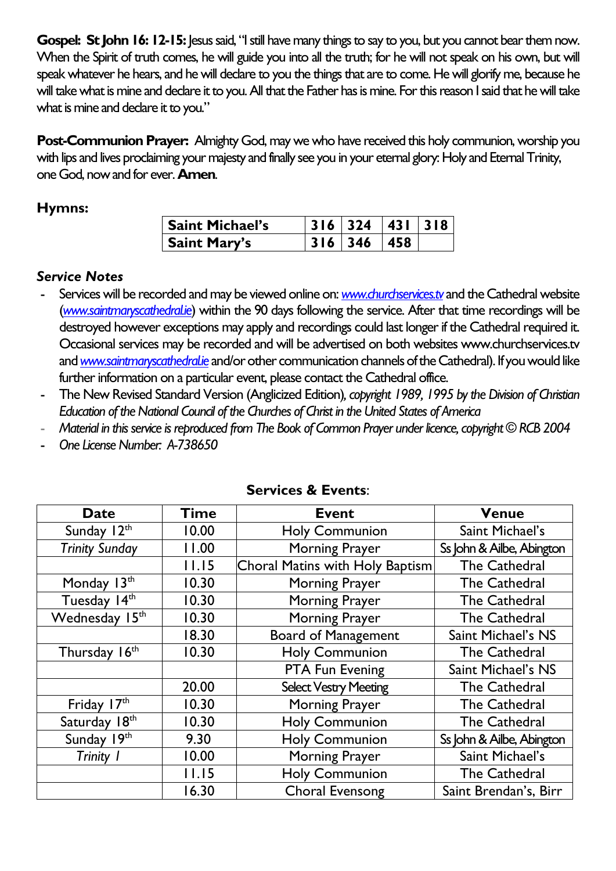**Gospel: St John 16: 12-15:** Jesus said, "I still have many things to say to you, but you cannot bear them now. When the Spirit of truth comes, he will guide you into all the truth; for he will not speak on his own, but will speak whatever he hears, and he will declare to you the things that are to come. He will glorify me, because he will take what is mine and declare it to you. All that the Father has is mine. For this reason I said that he will take what is mine and declare it to you."

**Post-Communion Prayer:** Almighty God, may we who have received this holy communion, worship you with lips and lives proclaiming your majesty and finally see you in your eternal glory: Holy and Eternal Trinity, one God, now and for ever. **Amen**.

# **Hymns:**

| <b>Saint Michael's</b> | $316$   324   431   318 |  |
|------------------------|-------------------------|--|
| <b>Saint Mary's</b>    | $316 \mid 346 \mid 458$ |  |

## *Service Notes*

- Services will be recorded and may be viewed online on: *[www.churchservices.tv](http://www.churchservices.tv/)* and the Cathedral website (*[www.saintmaryscathedral.ie](http://www.saintmaryscathedral.ie/)*) within the 90 days following the service. After that time recordings will be destroyed however exceptions may apply and recordings could last longer if the Cathedral required it. Occasional services may be recorded and will be advertised on both websites www.churchservices.tv and *[www.saintmaryscathedral.ie](http://www.saintmaryscathedral.ie/)* and/or other communication channels of the Cathedral). If you would like further information on a particular event, please contact the Cathedral office.
- The New Revised Standard Version (Anglicized Edition)*, copyright 1989, 1995 by the Division of Christian Education of the National Council of the Churches of Christ in the United States of America*
- *Material in this service is reproduced from The Book of Common Prayer under licence, copyright © RCB 2004*
- *One License Number: A-738650*

| <b>Date</b>           | Time  | <b>Event</b>                    | <b>Venue</b>              |  |
|-----------------------|-------|---------------------------------|---------------------------|--|
| Sunday 12th           | 10.00 | <b>Holy Communion</b>           | Saint Michael's           |  |
| <b>Trinity Sunday</b> | 11.00 | <b>Morning Prayer</b>           | Ss John & Ailbe, Abington |  |
|                       | 11.15 | Choral Matins with Holy Baptism | <b>The Cathedral</b>      |  |
| Monday 13th           | 10.30 | <b>Morning Prayer</b>           | <b>The Cathedral</b>      |  |
| Tuesday 14th          | 10.30 | <b>Morning Prayer</b>           | <b>The Cathedral</b>      |  |
| Wednesday 15th        | 10.30 | <b>Morning Prayer</b>           | <b>The Cathedral</b>      |  |
|                       | 18.30 | <b>Board of Management</b>      | Saint Michael's NS        |  |
| Thursday 16th         | 10.30 | <b>Holy Communion</b>           | <b>The Cathedral</b>      |  |
|                       |       | PTA Fun Evening                 | Saint Michael's NS        |  |
|                       | 20.00 | <b>Select Vestry Meeting</b>    | The Cathedral             |  |
| Friday 17th           | 10.30 | <b>Morning Prayer</b>           | <b>The Cathedral</b>      |  |
| Saturday 18th         | 10.30 | <b>Holy Communion</b>           | <b>The Cathedral</b>      |  |
| Sunday 19th           | 9.30  | <b>Holy Communion</b>           | Ss John & Ailbe, Abington |  |
| Trinity 1             | 10.00 | <b>Morning Prayer</b>           | Saint Michael's           |  |
|                       | 11.15 | <b>Holy Communion</b>           | The Cathedral             |  |
|                       | 16.30 | <b>Choral Evensong</b>          | Saint Brendan's, Birr     |  |

# **Services & Events**: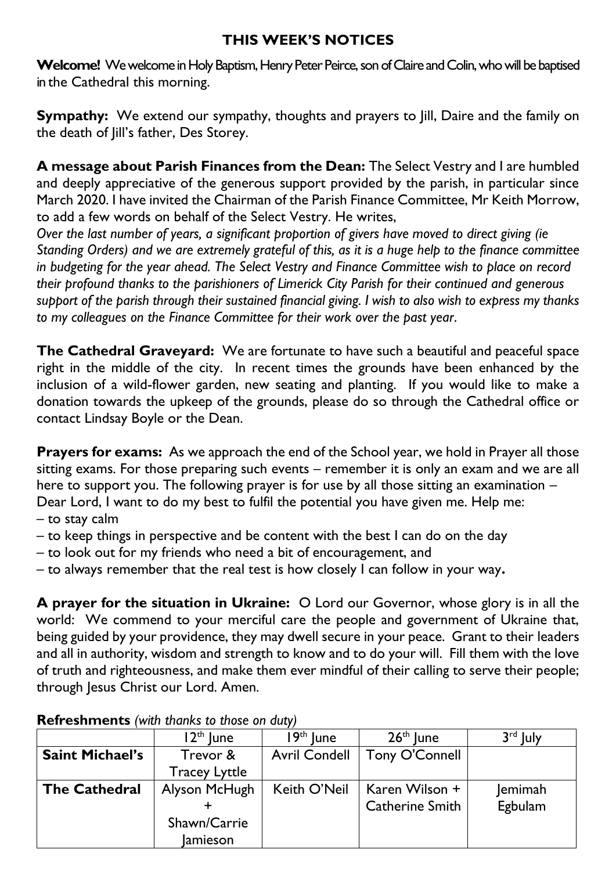# **THIS WEEK'S NOTICES**

Welcome! We welcome in Holy Baptism, Henry Peter Peirce, son of Claire and Colin, who will be baptised in the Cathedral this morning.

**Sympathy:** We extend our sympathy, thoughts and prayers to Jill, Daire and the family on the death of Jill's father, Des Storey.

**A message about Parish Finances from the Dean:** The Select Vestry and I are humbled and deeply appreciative of the generous support provided by the parish, in particular since March 2020. I have invited the Chairman of the Parish Finance Committee, Mr Keith Morrow, to add a few words on behalf of the Select Vestry. He writes,

*Over the last number of years, a significant proportion of givers have moved to direct giving (ie Standing Orders) and we are extremely grateful of this, as it is a huge help to the finance committee in budgeting for the year ahead. The Select Vestry and Finance Committee wish to place on record their profound thanks to the parishioners of Limerick City Parish for their continued and generous support of the parish through their sustained financial giving. I wish to also wish to express my thanks to my colleagues on the Finance Committee for their work over the past year*.

**The Cathedral Graveyard:** We are fortunate to have such a beautiful and peaceful space right in the middle of the city. In recent times the grounds have been enhanced by the inclusion of a wild-flower garden, new seating and planting. If you would like to make a donation towards the upkeep of the grounds, please do so through the Cathedral office or contact Lindsay Boyle or the Dean.

**Prayers for exams:** As we approach the end of the School year, we hold in Prayer all those sitting exams. For those preparing such events – remember it is only an exam and we are all here to support you. The following prayer is for use by all those sitting an examination – Dear Lord, I want to do my best to fulfil the potential you have given me. Help me:

- to stay calm
- to keep things in perspective and be content with the best I can do on the day
- to look out for my friends who need a bit of encouragement, and
- to always remember that the real test is how closely I can follow in your way**.**

**A prayer for the situation in Ukraine:** O Lord our Governor, whose glory is in all the world: We commend to your merciful care the people and government of Ukraine that, being guided by your providence, they may dwell secure in your peace. Grant to their leaders and all in authority, wisdom and strength to know and to do your will. Fill them with the love of truth and righteousness, and make them ever mindful of their calling to serve their people; through Jesus Christ our Lord. Amen.

|                        | $12th$ lune          | $9th$ lune           | $26th$ lune     | $3^{\text{rd}}$ luly |  |  |  |  |
|------------------------|----------------------|----------------------|-----------------|----------------------|--|--|--|--|
| <b>Saint Michael's</b> | Trevor &             | <b>Avril Condell</b> | Tony O'Connell  |                      |  |  |  |  |
|                        | <b>Tracey Lyttle</b> |                      |                 |                      |  |  |  |  |
| <b>The Cathedral</b>   | Alyson McHugh        | Keith O'Neil         | Karen Wilson +  | Jemimah              |  |  |  |  |
|                        |                      |                      | Catherine Smith | Egbulam              |  |  |  |  |
|                        | Shawn/Carrie         |                      |                 |                      |  |  |  |  |
|                        | <b>Jamieson</b>      |                      |                 |                      |  |  |  |  |

## **Refreshments** *(with thanks to those on duty)*